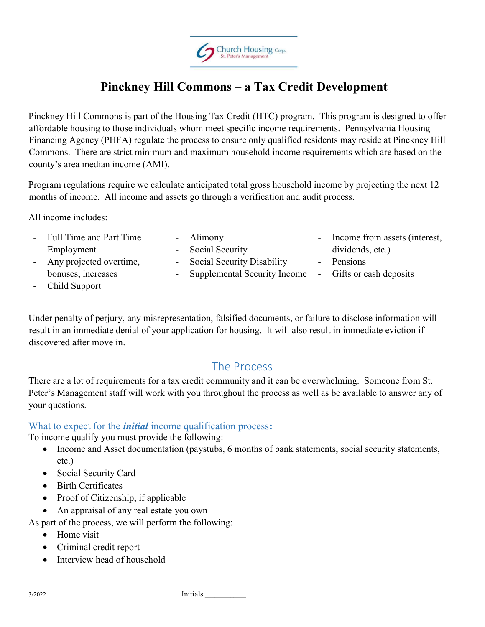

# Pinckney Hill Commons – a Tax Credit Development

Pinckney Hill Commons is part of the Housing Tax Credit (HTC) program. This program is designed to offer affordable housing to those individuals whom meet specific income requirements. Pennsylvania Housing Financing Agency (PHFA) regulate the process to ensure only qualified residents may reside at Pinckney Hill Commons. There are strict minimum and maximum household income requirements which are based on the county's area median income (AMI).

Program regulations require we calculate anticipated total gross household income by projecting the next 12 months of income. All income and assets go through a verification and audit process.

All income includes:

- Full Time and Part Time Employment - Any projected overtime,

bonuses, increases

- Alimony
- Social Security - Social Security Disability
	- Supplemental Security Income
	-
- Income from assets (interest, dividends, etc.)
- Pensions
- Gifts or cash deposits

- Child Support

Under penalty of perjury, any misrepresentation, falsified documents, or failure to disclose information will result in an immediate denial of your application for housing. It will also result in immediate eviction if discovered after move in.

## The Process

There are a lot of requirements for a tax credit community and it can be overwhelming. Someone from St. Peter's Management staff will work with you throughout the process as well as be available to answer any of your questions.

### What to expect for the *initial* income qualification process:

To income qualify you must provide the following:

- Income and Asset documentation (paystubs, 6 months of bank statements, social security statements, etc.)
- Social Security Card
- Birth Certificates
- Proof of Citizenship, if applicable
- An appraisal of any real estate you own

As part of the process, we will perform the following:

- Home visit
- Criminal credit report
- Interview head of household

3/2022 **Initials**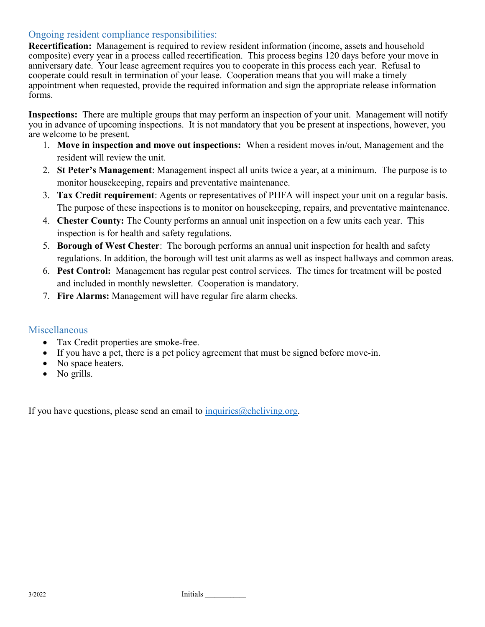### Ongoing resident compliance responsibilities:

Recertification: Management is required to review resident information (income, assets and household composite) every year in a process called recertification. This process begins 120 days before your move in anniversary date. Your lease agreement requires you to cooperate in this process each year. Refusal to cooperate could result in termination of your lease. Cooperation means that you will make a timely appointment when requested, provide the required information and sign the appropriate release information forms.

Inspections: There are multiple groups that may perform an inspection of your unit. Management will notify you in advance of upcoming inspections. It is not mandatory that you be present at inspections, however, you are welcome to be present.

- 1. Move in inspection and move out inspections: When a resident moves in/out, Management and the resident will review the unit.
- 2. St Peter's Management: Management inspect all units twice a year, at a minimum. The purpose is to monitor housekeeping, repairs and preventative maintenance.
- 3. Tax Credit requirement: Agents or representatives of PHFA will inspect your unit on a regular basis. The purpose of these inspections is to monitor on housekeeping, repairs, and preventative maintenance.
- 4. Chester County: The County performs an annual unit inspection on a few units each year. This inspection is for health and safety regulations.
- 5. Borough of West Chester: The borough performs an annual unit inspection for health and safety regulations. In addition, the borough will test unit alarms as well as inspect hallways and common areas.
- 6. Pest Control: Management has regular pest control services. The times for treatment will be posted and included in monthly newsletter. Cooperation is mandatory.
- 7. Fire Alarms: Management will have regular fire alarm checks.

### Miscellaneous

- Tax Credit properties are smoke-free.
- If you have a pet, there is a pet policy agreement that must be signed before move-in.
- No space heaters.
- No grills.

If you have questions, please send an email to  $inquiries@chcliving.org$ .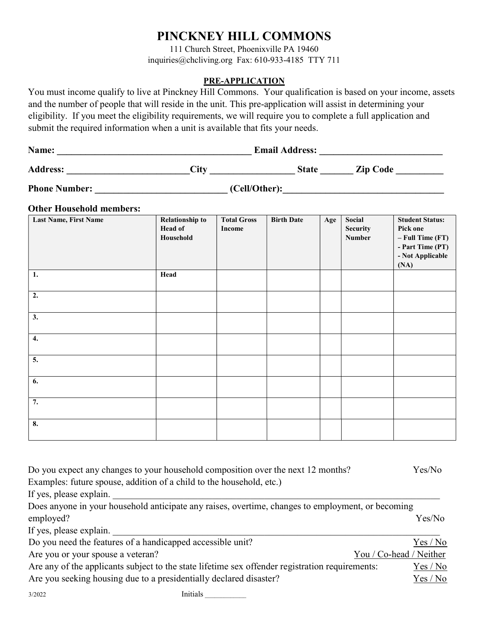## PINCKNEY HILL COMMONS

111 Church Street, Phoenixville PA 19460 inquiries@chcliving.org Fax: 610-933-4185 TTY 711

#### PRE-APPLICATION

You must income qualify to live at Pinckney Hill Commons. Your qualification is based on your income, assets and the number of people that will reside in the unit. This pre-application will assist in determining your eligibility. If you meet the eligibility requirements, we will require you to complete a full application and submit the required information when a unit is available that fits your needs.

| Name:           |      | <b>Email Address:</b> |                 |
|-----------------|------|-----------------------|-----------------|
| <b>Address:</b> | City | <b>State</b>          | <b>Zip Code</b> |

Phone Number:  $(Cell/Other):$ 

#### Other Household members:

| Last Name, First Name | <b>Relationship to</b><br>Head of<br>Household | <b>Total Gross</b><br>Income | <b>Birth Date</b> | Age | Social<br><b>Security</b><br>Number | <b>Student Status:</b><br>Pick one<br>$-$ Full Time (FT)<br>- Part Time (PT)<br>- Not Applicable<br>(NA) |
|-----------------------|------------------------------------------------|------------------------------|-------------------|-----|-------------------------------------|----------------------------------------------------------------------------------------------------------|
| 1.                    | Head                                           |                              |                   |     |                                     |                                                                                                          |
| 2.                    |                                                |                              |                   |     |                                     |                                                                                                          |
| 3.                    |                                                |                              |                   |     |                                     |                                                                                                          |
| 4.                    |                                                |                              |                   |     |                                     |                                                                                                          |
| 5.                    |                                                |                              |                   |     |                                     |                                                                                                          |
| 6.                    |                                                |                              |                   |     |                                     |                                                                                                          |
| $\overline{7}$ .      |                                                |                              |                   |     |                                     |                                                                                                          |
| 8.                    |                                                |                              |                   |     |                                     |                                                                                                          |

| Do you expect any changes to your household composition over the next 12 months?                  | Yes/No                  |
|---------------------------------------------------------------------------------------------------|-------------------------|
| Examples: future spouse, addition of a child to the household, etc.)                              |                         |
| If yes, please explain.                                                                           |                         |
| Does anyone in your household anticipate any raises, overtime, changes to employment, or becoming |                         |
| employed?                                                                                         | Yes/No                  |
| If yes, please explain.                                                                           |                         |
| Do you need the features of a handicapped accessible unit?                                        | Yes / No                |
| Are you or your spouse a veteran?                                                                 | You / Co-head / Neither |
| Are any of the applicants subject to the state lifetime sex offender registration requirements:   | Yes / No                |
| Are you seeking housing due to a presidentially declared disaster?                                | Yes / No                |

3/2022 Initials \_\_\_\_\_\_\_\_\_\_\_\_\_